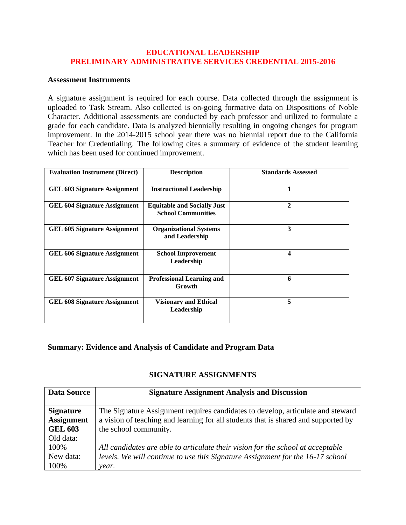## **EDUCATIONAL LEADERSHIP PRELIMINARY ADMINISTRATIVE SERVICES CREDENTIAL 2015-2016**

## **Assessment Instruments**

A signature assignment is required for each course. Data collected through the assignment is uploaded to Task Stream. Also collected is on-going formative data on Dispositions of Noble Character. Additional assessments are conducted by each professor and utilized to formulate a grade for each candidate. Data is analyzed biennially resulting in ongoing changes for program improvement. In the 2014-2015 school year there was no biennial report due to the California Teacher for Credentialing. The following cites a summary of evidence of the student learning which has been used for continued improvement.

| <b>Evaluation Instrument (Direct)</b> | <b>Description</b>                                              | <b>Standards Assessed</b> |
|---------------------------------------|-----------------------------------------------------------------|---------------------------|
| <b>GEL 603 Signature Assignment</b>   | <b>Instructional Leadership</b>                                 |                           |
| <b>GEL 604 Signature Assignment</b>   | <b>Equitable and Socially Just</b><br><b>School Communities</b> | $\mathbf{2}$              |
| <b>GEL 605 Signature Assignment</b>   | <b>Organizational Systems</b><br>and Leadership                 | 3                         |
| <b>GEL 606 Signature Assignment</b>   | <b>School Improvement</b><br>Leadership                         | 4                         |
| <b>GEL 607 Signature Assignment</b>   | <b>Professional Learning and</b><br>Growth                      | 6                         |
| <b>GEL 608 Signature Assignment</b>   | <b>Visionary and Ethical</b><br>Leadership                      | 5                         |

## **Summary: Evidence and Analysis of Candidate and Program Data**

## **SIGNATURE ASSIGNMENTS**

| <b>Data Source</b> | <b>Signature Assignment Analysis and Discussion</b>                                |
|--------------------|------------------------------------------------------------------------------------|
| <b>Signature</b>   | The Signature Assignment requires candidates to develop, articulate and steward    |
| <b>Assignment</b>  | a vision of teaching and learning for all students that is shared and supported by |
| <b>GEL 603</b>     | the school community.                                                              |
| Old data:          |                                                                                    |
| 100%               | All candidates are able to articulate their vision for the school at acceptable    |
| New data:          | levels. We will continue to use this Signature Assignment for the 16-17 school     |
| 100%               | year.                                                                              |